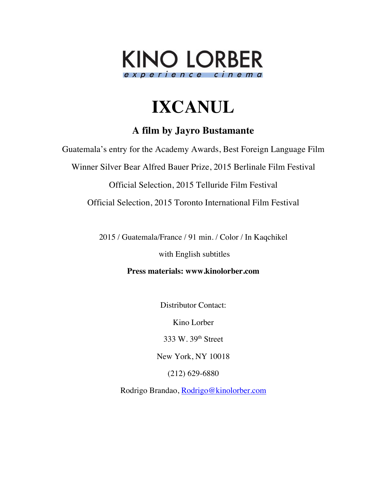

# **IXCANUL**

# **A film by Jayro Bustamante**

Guatemala's entry for the Academy Awards, Best Foreign Language Film

Winner Silver Bear Alfred Bauer Prize, 2015 Berlinale Film Festival

Official Selection, 2015 Telluride Film Festival

Official Selection, 2015 Toronto International Film Festival

2015 / Guatemala/France / 91 min. / Color / In Kaqchikel

with English subtitles

**Press materials: www.kinolorber.com**

Distributor Contact:

Kino Lorber

333 W. 39th Street

New York, NY 10018

(212) 629-6880

Rodrigo Brandao, Rodrigo@kinolorber.com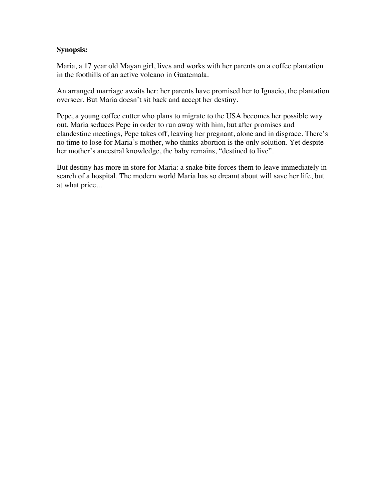# **Synopsis:**

Maria, a 17 year old Mayan girl, lives and works with her parents on a coffee plantation in the foothills of an active volcano in Guatemala.

An arranged marriage awaits her: her parents have promised her to Ignacio, the plantation overseer. But Maria doesn't sit back and accept her destiny.

Pepe, a young coffee cutter who plans to migrate to the USA becomes her possible way out. Maria seduces Pepe in order to run away with him, but after promises and clandestine meetings, Pepe takes off, leaving her pregnant, alone and in disgrace. There's no time to lose for Maria's mother, who thinks abortion is the only solution. Yet despite her mother's ancestral knowledge, the baby remains, "destined to live".

But destiny has more in store for Maria: a snake bite forces them to leave immediately in search of a hospital. The modern world Maria has so dreamt about will save her life, but at what price...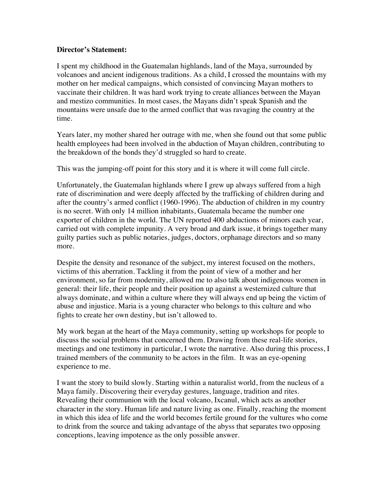#### **Director's Statement:**

I spent my childhood in the Guatemalan highlands, land of the Maya, surrounded by volcanoes and ancient indigenous traditions. As a child, I crossed the mountains with my mother on her medical campaigns, which consisted of convincing Mayan mothers to vaccinate their children. It was hard work trying to create alliances between the Mayan and mestizo communities. In most cases, the Mayans didn't speak Spanish and the mountains were unsafe due to the armed conflict that was ravaging the country at the time.

Years later, my mother shared her outrage with me, when she found out that some public health employees had been involved in the abduction of Mayan children, contributing to the breakdown of the bonds they'd struggled so hard to create.

This was the jumping-off point for this story and it is where it will come full circle.

Unfortunately, the Guatemalan highlands where I grew up always suffered from a high rate of discrimination and were deeply affected by the trafficking of children during and after the country's armed conflict (1960-1996). The abduction of children in my country is no secret. With only 14 million inhabitants, Guatemala became the number one exporter of children in the world. The UN reported 400 abductions of minors each year, carried out with complete impunity. A very broad and dark issue, it brings together many guilty parties such as public notaries, judges, doctors, orphanage directors and so many more.

Despite the density and resonance of the subject, my interest focused on the mothers, victims of this aberration. Tackling it from the point of view of a mother and her environment, so far from modernity, allowed me to also talk about indigenous women in general: their life, their people and their position up against a westernized culture that always dominate, and within a culture where they will always end up being the victim of abuse and injustice. Maria is a young character who belongs to this culture and who fights to create her own destiny, but isn't allowed to.

My work began at the heart of the Maya community, setting up workshops for people to discuss the social problems that concerned them. Drawing from these real-life stories, meetings and one testimony in particular, I wrote the narrative. Also during this process, I trained members of the community to be actors in the film. It was an eye-opening experience to me.

I want the story to build slowly. Starting within a naturalist world, from the nucleus of a Maya family. Discovering their everyday gestures, language, tradition and rites. Revealing their communion with the local volcano, Ixcanul, which acts as another character in the story. Human life and nature living as one. Finally, reaching the moment in which this idea of life and the world becomes fertile ground for the vultures who come to drink from the source and taking advantage of the abyss that separates two opposing conceptions, leaving impotence as the only possible answer.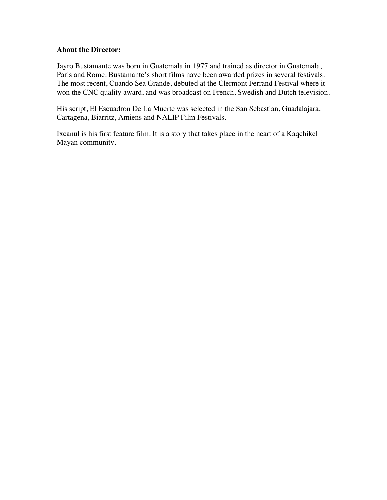## **About the Director:**

Jayro Bustamante was born in Guatemala in 1977 and trained as director in Guatemala, Paris and Rome. Bustamante's short films have been awarded prizes in several festivals. The most recent, Cuando Sea Grande, debuted at the Clermont Ferrand Festival where it won the CNC quality award, and was broadcast on French, Swedish and Dutch television.

His script, El Escuadron De La Muerte was selected in the San Sebastian, Guadalajara, Cartagena, Biarritz, Amiens and NALIP Film Festivals.

Ixcanul is his first feature film. It is a story that takes place in the heart of a Kaqchikel Mayan community.